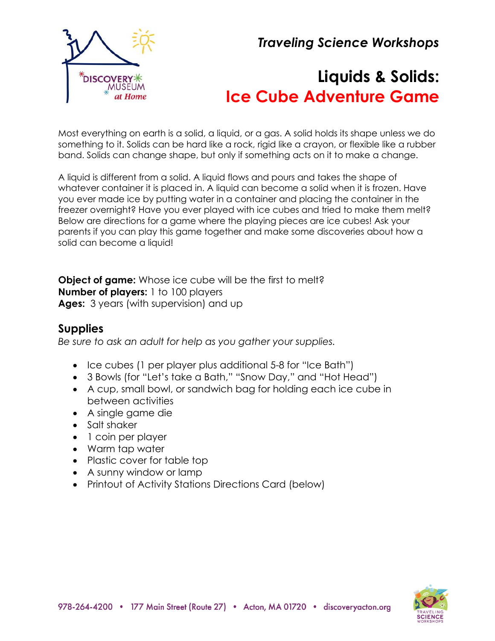*Traveling Science Workshops*



# **Liquids & Solids: Ice Cube Adventure Game**

Most everything on earth is a solid, a liquid, or a gas. A solid holds its shape unless we do something to it. Solids can be hard like a rock, rigid like a crayon, or flexible like a rubber band. Solids can change shape, but only if something acts on it to make a change.

A liquid is different from a solid. A liquid flows and pours and takes the shape of whatever container it is placed in. A liquid can become a solid when it is frozen. Have you ever made ice by putting water in a container and placing the container in the freezer overnight? Have you ever played with ice cubes and tried to make them melt? Below are directions for a game where the playing pieces are ice cubes! Ask your parents if you can play this game together and make some discoveries about how a solid can become a liquid!

**Object of game:** Whose ice cube will be the first to melt? **Number of players:** 1 to 100 players **Ages:** 3 years (with supervision) and up

# **Supplies**

*Be sure to ask an adult for help as you gather your supplies.*

- Ice cubes (1 per player plus additional 5-8 for "Ice Bath")
- 3 Bowls (for "Let's take a Bath," "Snow Day," and "Hot Head")
- A cup, small bowl, or sandwich bag for holding each ice cube in between activities
- A single game die
- Salt shaker
- 1 coin per player
- Warm tap water
- Plastic cover for table top
- A sunny window or lamp
- Printout of Activity Stations Directions Card (below)

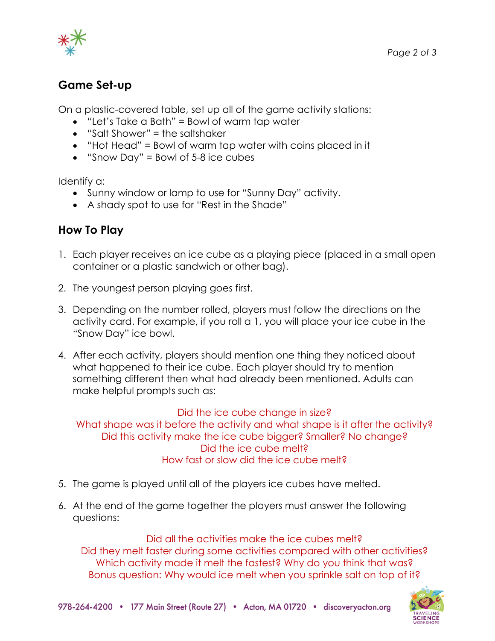

# **Game Set-up**

On a plastic-covered table, set up all of the game activity stations:

- "Let's Take a Bath" = Bowl of warm tap water
- "Salt Shower" = the saltshaker
- "Hot Head" = Bowl of warm tap water with coins placed in it
- "Snow Day" = Bowl of 5-8 ice cubes

Identify a:

- Sunny window or lamp to use for "Sunny Day" activity.
- A shady spot to use for "Rest in the Shade"

# **How To Play**

- 1. Each player receives an ice cube as a playing piece (placed in a small open container or a plastic sandwich or other bag).
- 2. The youngest person playing goes first.
- 3. Depending on the number rolled, players must follow the directions on the activity card. For example, if you roll a 1, you will place your ice cube in the "Snow Day" ice bowl.
- 4. After each activity, players should mention one thing they noticed about what happened to their ice cube. Each player should try to mention something different then what had already been mentioned. Adults can make helpful prompts such as:

#### Did the ice cube change in size?

What shape was it before the activity and what shape is it after the activity? Did this activity make the ice cube bigger? Smaller? No change? Did the ice cube melt? How fast or slow did the ice cube melt?

- 5. The game is played until all of the players ice cubes have melted.
- 6. At the end of the game together the players must answer the following questions:

Did all the activities make the ice cubes melt? Did they melt faster during some activities compared with other activities? Which activity made it melt the fastest? Why do you think that was? Bonus question: Why would ice melt when you sprinkle salt on top of it?